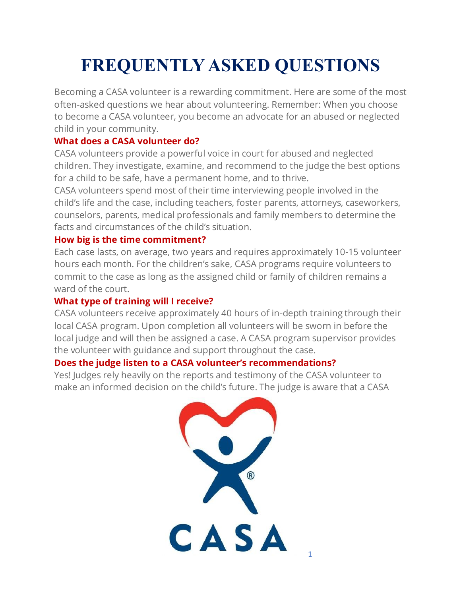# **FREQUENTLY ASKED QUESTIONS**

Becoming a CASA volunteer is a rewarding commitment. Here are some of the most often-asked questions we hear about volunteering. Remember: When you choose to become a CASA volunteer, you become an advocate for an abused or neglected child in your community.

### **What does a CASA volunteer do?**

CASA volunteers provide a powerful voice in court for abused and neglected children. They investigate, examine, and recommend to the judge the best options for a child to be safe, have a permanent home, and to thrive.

CASA volunteers spend most of their time interviewing people involved in the child's life and the case, including teachers, foster parents, attorneys, caseworkers, counselors, parents, medical professionals and family members to determine the facts and circumstances of the child's situation.

# **How big is the time commitment?**

Each case lasts, on average, two years and requires approximately 10-15 volunteer hours each month. For the children's sake, CASA programs require volunteers to commit to the case as long as the assigned child or family of children remains a ward of the court.

## **What type of training will I receive?**

CASA volunteers receive approximately 40 hours of in-depth training through their local CASA program. Upon completion all volunteers will be sworn in before the local judge and will then be assigned a case. A CASA program supervisor provides the volunteer with guidance and support throughout the case.

### **Does the judge listen to a CASA volunteer's recommendations?**

Yes! Judges rely heavily on the reports and testimony of the CASA volunteer to make an informed decision on the child's future. The judge is aware that a CASA